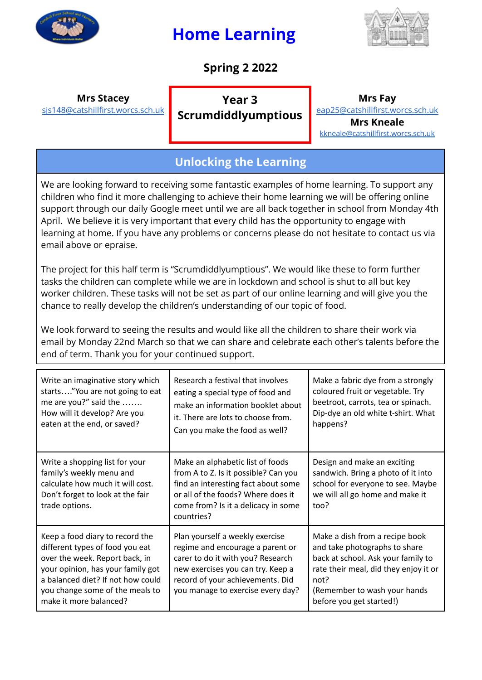

# **Home Learning**



## **Spring 2 2022**

#### **Mrs Stacey** [sjs148@catshillfirst.worcs.sch.uk](mailto:sjs148@catshillfirst.worcs.sch.uk)

**Year 3 Scrumdiddlyumptious**

### **Mrs Fay**

[eap25@catshillfirst.worcs.sch.uk](mailto:eap25@catshillfirst.worcs.sch.uk) **Mrs Kneale** [kkneale@catshillfirst.worcs.sch.uk](mailto:kkneale@catshillfirst.worcs.sch.uk)

## **Unlocking the Learning**

We are looking forward to receiving some fantastic examples of home learning. To support any children who find it more challenging to achieve their home learning we will be offering online support through our daily Google meet until we are all back together in school from Monday 4th April. We believe it is very important that every child has the opportunity to engage with learning at home. If you have any problems or concerns please do not hesitate to contact us via email above or epraise.

The project for this half term is "Scrumdiddlyumptious". We would like these to form further tasks the children can complete while we are in lockdown and school is shut to all but key worker children. These tasks will not be set as part of our online learning and will give you the chance to really develop the children's understanding of our topic of food.

We look forward to seeing the results and would like all the children to share their work via email by Monday 22nd March so that we can share and celebrate each other's talents before the end of term. Thank you for your continued support.

| Write an imaginative story which<br>starts"You are not going to eat<br>me are you?" said the<br>How will it develop? Are you<br>eaten at the end, or saved?                                                                                 | Research a festival that involves<br>eating a special type of food and<br>make an information booklet about<br>it. There are lots to choose from.<br>Can you make the food as well?                                    | Make a fabric dye from a strongly<br>coloured fruit or vegetable. Try<br>beetroot, carrots, tea or spinach.<br>Dip-dye an old white t-shirt. What<br>happens?                                                      |
|---------------------------------------------------------------------------------------------------------------------------------------------------------------------------------------------------------------------------------------------|------------------------------------------------------------------------------------------------------------------------------------------------------------------------------------------------------------------------|--------------------------------------------------------------------------------------------------------------------------------------------------------------------------------------------------------------------|
| Write a shopping list for your<br>family's weekly menu and<br>calculate how much it will cost.<br>Don't forget to look at the fair<br>trade options.                                                                                        | Make an alphabetic list of foods<br>from A to Z. Is it possible? Can you<br>find an interesting fact about some<br>or all of the foods? Where does it<br>come from? Is it a delicacy in some<br>countries?             | Design and make an exciting<br>sandwich. Bring a photo of it into<br>school for everyone to see. Maybe<br>we will all go home and make it<br>too?                                                                  |
| Keep a food diary to record the<br>different types of food you eat<br>over the week. Report back, in<br>your opinion, has your family got<br>a balanced diet? If not how could<br>you change some of the meals to<br>make it more balanced? | Plan yourself a weekly exercise<br>regime and encourage a parent or<br>carer to do it with you? Research<br>new exercises you can try. Keep a<br>record of your achievements. Did<br>you manage to exercise every day? | Make a dish from a recipe book<br>and take photographs to share<br>back at school. Ask your family to<br>rate their meal, did they enjoy it or<br>not?<br>(Remember to wash your hands<br>before you get started!) |